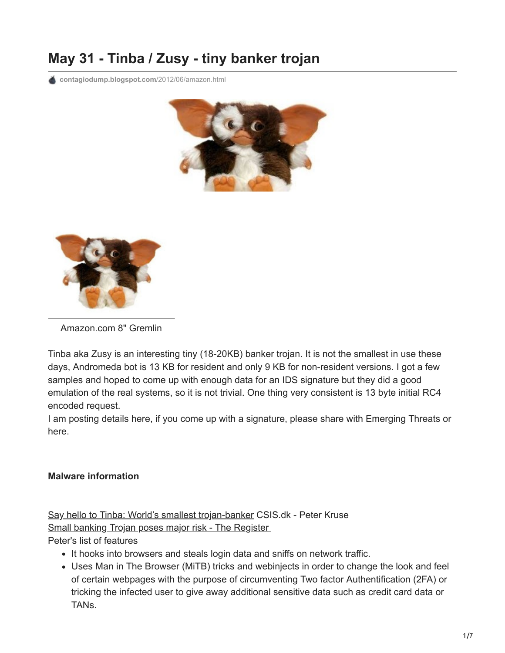# **May 31 - Tinba / Zusy - tiny banker trojan**

**[contagiodump.blogspot.com](http://contagiodump.blogspot.com/2012/06/amazon.html)**/2012/06/amazon.html





Amazon.com 8" Gremlin

Tinba aka Zusy is an interesting tiny (18-20KB) banker trojan. It is not the smallest in use these days, Andromeda bot is 13 KB for resident and only 9 KB for non-resident versions. I got a few samples and hoped to come up with enough data for an IDS signature but they did a good emulation of the real systems, so it is not trivial. One thing very consistent is 13 byte initial RC4 encoded request.

I am posting details here, if you come up with a signature, please share with Emerging Threats or here.

## **Malware information**

[Say hello to Tinba: World's smallest trojan-banker](http://www.csis.dk/en/csis/news/3566/) CSIS.dk - Peter Kruse [Small banking Trojan poses major risk - The Register](http://www.theregister.co.uk/2012/06/04/small_banking_trojan/) 

#### Peter's list of features

- It hooks into browsers and steals login data and sniffs on network traffic.
- Uses Man in The Browser (MiTB) tricks and webinjects in order to change the look and feel of certain webpages with the purpose of circumventing Two factor Authentification (2FA) or tricking the infected user to give away additional sensitive data such as credit card data or TANs.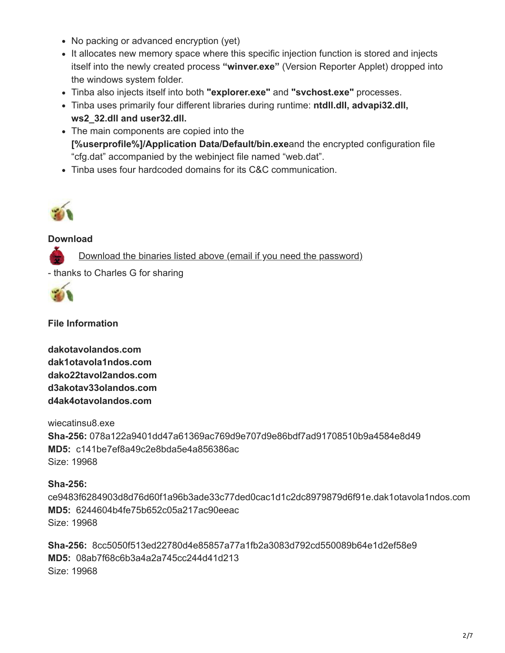- No packing or advanced encryption (yet)
- It allocates new memory space where this specific injection function is stored and injects itself into the newly created process **"winver.exe"** (Version Reporter Applet) dropped into the windows system folder.
- Tinba also injects itself into both **"explorer.exe"** and **"svchost.exe"** processes.
- Tinba uses primarily four different libraries during runtime: **ntdll.dll, advapi32.dll, ws2\_32.dll and user32.dll.**
- The main components are copied into the **[%userprofile%]/Application Data/Default/bin.exe**and the encrypted configuration file "cfg.dat" accompanied by the webinject file named "web.dat".
- Tinba uses four hardcoded domains for its C&C communication.



#### **Download**

[Download the binaries listed above \(email if you need the password\)](http://www.mediafire.com/?bcfpziu8z9xk257)

- thanks to Charles G for sharing



**File Information**

**dakotavolandos.com dak1otavola1ndos.com dako22tavol2andos.com d3akotav33olandos.com d4ak4otavolandos.com** 

wiecatinsu8.exe **Sha-256:** 078a122a9401dd47a61369ac769d9e707d9e86bdf7ad91708510b9a4584e8d49 **MD5:** c141be7ef8a49c2e8bda5e4a856386ac Size: 19968

## **Sha-256:**

ce9483f6284903d8d76d60f1a96b3ade33c77ded0cac1d1c2dc8979879d6f91e.dak1otavola1ndos.com **MD5:** 6244604b4fe75b652c05a217ac90eeac Size: 19968

**Sha-256:** 8cc5050f513ed22780d4e85857a77a1fb2a3083d792cd550089b64e1d2ef58e9 **MD5:** 08ab7f68c6b3a4a2a745cc244d41d213 Size: 19968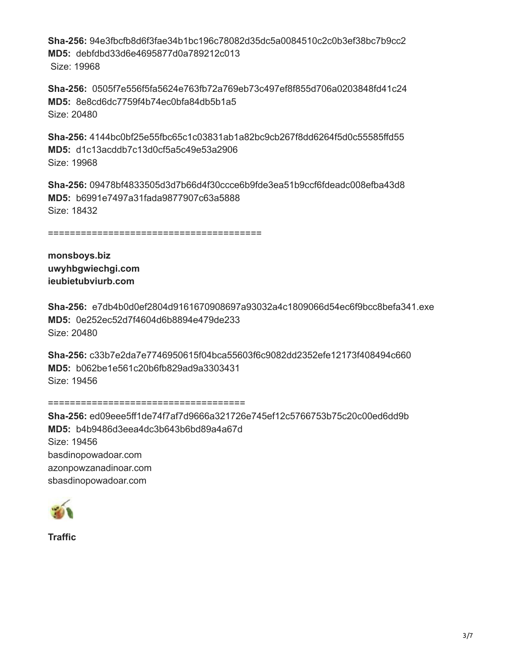**Sha-256:** 94e3fbcfb8d6f3fae34b1bc196c78082d35dc5a0084510c2c0b3ef38bc7b9cc2 **MD5:** debfdbd33d6e4695877d0a789212c013 Size: 19968

**Sha-256:** 0505f7e556f5fa5624e763fb72a769eb73c497ef8f855d706a0203848fd41c24 **MD5:** 8e8cd6dc7759f4b74ec0bfa84db5b1a5 Size: 20480

**Sha-256:** 4144bc0bf25e55fbc65c1c03831ab1a82bc9cb267f8dd6264f5d0c55585ffd55 **MD5:** d1c13acddb7c13d0cf5a5c49e53a2906 Size: 19968

**Sha-256:** 09478bf4833505d3d7b66d4f30ccce6b9fde3ea51b9ccf6fdeadc008efba43d8 **MD5:** b6991e7497a31fada9877907c63a5888 Size: 18432

=======================================

**monsboys.biz uwyhbgwiechgi.com ieubietubviurb.com** 

**Sha-256:** e7db4b0d0ef2804d9161670908697a93032a4c1809066d54ec6f9bcc8befa341.exe **MD5:** 0e252ec52d7f4604d6b8894e479de233 Size: 20480

**Sha-256:** c33b7e2da7e7746950615f04bca55603f6c9082dd2352efe12173f408494c660 **MD5:** b062be1e561c20b6fb829ad9a3303431 Size: 19456

====================================

**Sha-256:** ed09eee5ff1de74f7af7d9666a321726e745ef12c5766753b75c20c00ed6dd9b **MD5:** b4b9486d3eea4dc3b643b6bd89a4a67d Size: 19456 basdinopowadoar.com azonpowzanadinoar.com sbasdinopowadoar.com



**Traffic**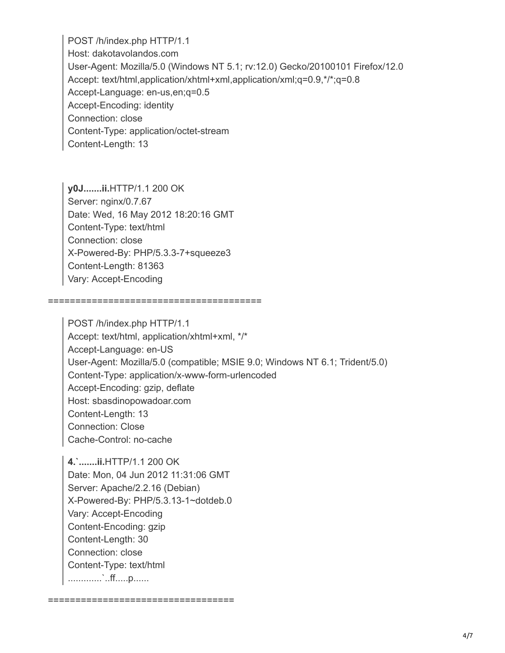POST /h/index.php HTTP/1.1 Host: dakotavolandos.com User-Agent: Mozilla/5.0 (Windows NT 5.1; rv:12.0) Gecko/20100101 Firefox/12.0 Accept: text/html,application/xhtml+xml,application/xml;q=0.9,\*/\*;q=0.8 Accept-Language: en-us,en;q=0.5 Accept-Encoding: identity Connection: close Content-Type: application/octet-stream Content-Length: 13

**y0J.......ii.**HTTP/1.1 200 OK Server: nginx/0.7.67 Date: Wed, 16 May 2012 18:20:16 GMT Content-Type: text/html Connection: close X-Powered-By: PHP/5.3.3-7+squeeze3 Content-Length: 81363 Vary: Accept-Encoding

=======================================

POST /h/index.php HTTP/1.1 Accept: text/html, application/xhtml+xml, \*/\* Accept-Language: en-US User-Agent: Mozilla/5.0 (compatible; MSIE 9.0; Windows NT 6.1; Trident/5.0) Content-Type: application/x-www-form-urlencoded Accept-Encoding: gzip, deflate Host: sbasdinopowadoar.com Content-Length: 13 Connection: Close Cache-Control: no-cache

**4.`.......ii.**HTTP/1.1 200 OK Date: Mon, 04 Jun 2012 11:31:06 GMT Server: Apache/2.2.16 (Debian) X-Powered-By: PHP/5.3.13-1~dotdeb.0 Vary: Accept-Encoding Content-Encoding: gzip Content-Length: 30 Connection: close Content-Type: text/html .............`..ff.....p......

==================================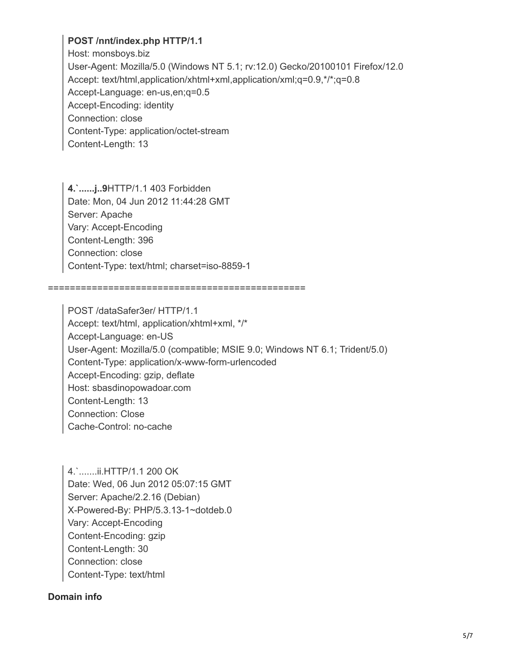## **POST /nnt/index.php HTTP/1.1**

Host: monsboys.biz User-Agent: Mozilla/5.0 (Windows NT 5.1; rv:12.0) Gecko/20100101 Firefox/12.0 Accept: text/html,application/xhtml+xml,application/xml;q=0.9,\*/\*;q=0.8 Accept-Language: en-us,en;q=0.5 Accept-Encoding: identity Connection: close Content-Type: application/octet-stream Content-Length: 13

**4.`......j..9**HTTP/1.1 403 Forbidden Date: Mon, 04 Jun 2012 11:44:28 GMT Server: Apache Vary: Accept-Encoding Content-Length: 396 Connection: close Content-Type: text/html; charset=iso-8859-1

===============================================

POST /dataSafer3er/ HTTP/1.1 Accept: text/html, application/xhtml+xml, \*/\* Accept-Language: en-US User-Agent: Mozilla/5.0 (compatible; MSIE 9.0; Windows NT 6.1; Trident/5.0) Content-Type: application/x-www-form-urlencoded Accept-Encoding: gzip, deflate Host: sbasdinopowadoar.com Content-Length: 13 Connection: Close Cache-Control: no-cache

4.`.......ii.HTTP/1.1 200 OK Date: Wed, 06 Jun 2012 05:07:15 GMT Server: Apache/2.2.16 (Debian) X-Powered-By: PHP/5.3.13-1~dotdeb.0 Vary: Accept-Encoding Content-Encoding: gzip Content-Length: 30 Connection: close Content-Type: text/html

#### **Domain info**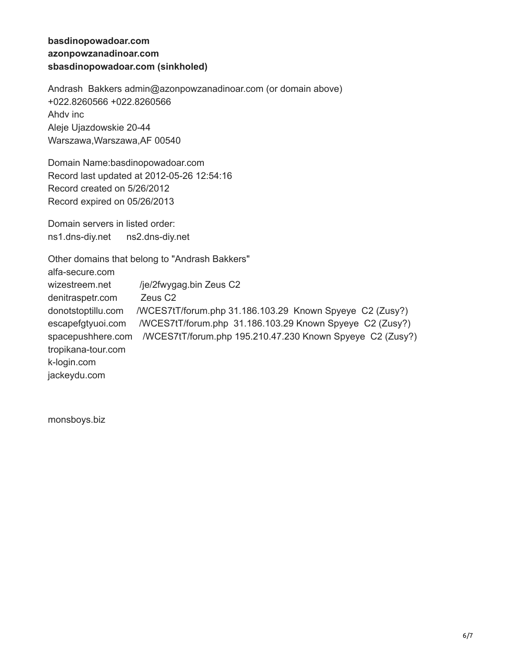## **basdinopowadoar.com azonpowzanadinoar.com sbasdinopowadoar.com (sinkholed)**

Andrash Bakkers admin@azonpowzanadinoar.com (or domain above) +022.8260566 +022.8260566 Ahdv inc Aleje Ujazdowskie 20-44 Warszawa,Warszawa,AF 00540

Domain Name:basdinopowadoar.com Record last updated at 2012-05-26 12:54:16 Record created on 5/26/2012 Record expired on 05/26/2013

Domain servers in listed order: ns1.dns-diy.net ns2.dns-diy.net

Other domains that belong to "Andrash Bakkers" alfa-secure.com wizestreem.net /je/2fwygag.bin Zeus C2 denitraspetr.com Zeus C2 donotstoptillu.com /WCES7tT/forum.php 31.186.103.29 Known Spyeye C2 (Zusy?) escapefgtyuoi.com /WCES7tT/forum.php 31.186.103.29 Known Spyeye C2 (Zusy?) spacepushhere.com /WCES7tT/forum.php 195.210.47.230 Known Spyeye C2 (Zusy?) tropikana-tour.com k-login.com jackeydu.com

monsboys.biz